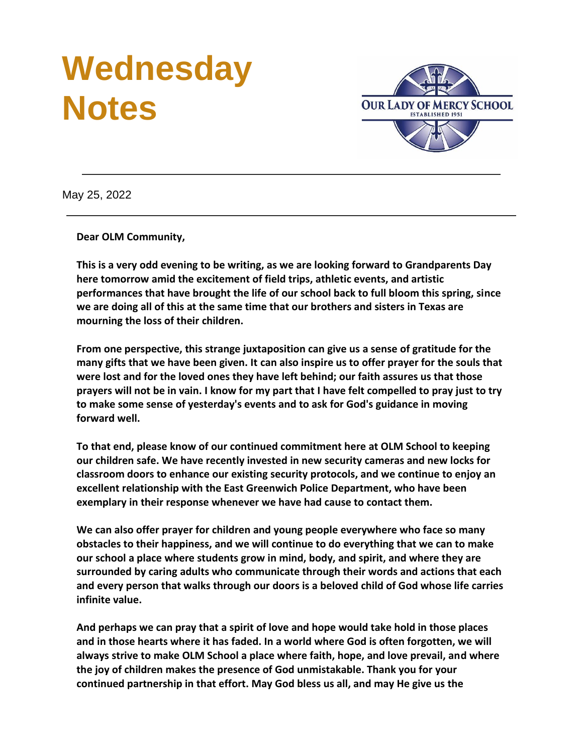# **Wednesday Notes**



May 25, 2022

**Dear OLM Community,**

**This is a very odd evening to be writing, as we are looking forward to Grandparents Day here tomorrow amid the excitement of field trips, athletic events, and artistic performances that have brought the life of our school back to full bloom this spring, since we are doing all of this at the same time that our brothers and sisters in Texas are mourning the loss of their children.**

**From one perspective, this strange juxtaposition can give us a sense of gratitude for the many gifts that we have been given. It can also inspire us to offer prayer for the souls that were lost and for the loved ones they have left behind; our faith assures us that those prayers will not be in vain. I know for my part that I have felt compelled to pray just to try to make some sense of yesterday's events and to ask for God's guidance in moving forward well.**

**To that end, please know of our continued commitment here at OLM School to keeping our children safe. We have recently invested in new security cameras and new locks for classroom doors to enhance our existing security protocols, and we continue to enjoy an excellent relationship with the East Greenwich Police Department, who have been exemplary in their response whenever we have had cause to contact them.**

**We can also offer prayer for children and young people everywhere who face so many obstacles to their happiness, and we will continue to do everything that we can to make our school a place where students grow in mind, body, and spirit, and where they are surrounded by caring adults who communicate through their words and actions that each and every person that walks through our doors is a beloved child of God whose life carries infinite value.**

**And perhaps we can pray that a spirit of love and hope would take hold in those places and in those hearts where it has faded. In a world where God is often forgotten, we will always strive to make OLM School a place where faith, hope, and love prevail, and where the joy of children makes the presence of God unmistakable. Thank you for your continued partnership in that effort. May God bless us all, and may He give us the**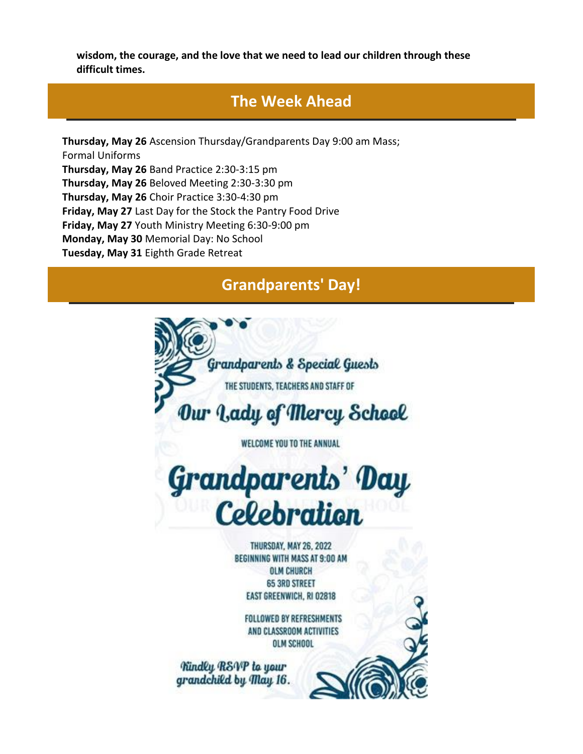**wisdom, the courage, and the love that we need to lead our children through these difficult times.**

## **The Week Ahead**

**Thursday, May 26** Ascension Thursday/Grandparents Day 9:00 am Mass; Formal Uniforms **Thursday, May 26** Band Practice 2:30-3:15 pm **Thursday, May 26** Beloved Meeting 2:30-3:30 pm **Thursday, May 26** Choir Practice 3:30-4:30 pm **Friday, May 27** Last Day for the Stock the Pantry Food Drive **Friday, May 27** Youth Ministry Meeting 6:30-9:00 pm **Monday, May 30** Memorial Day: No School **Tuesday, May 31** Eighth Grade Retreat

## **Grandparents' Day!**

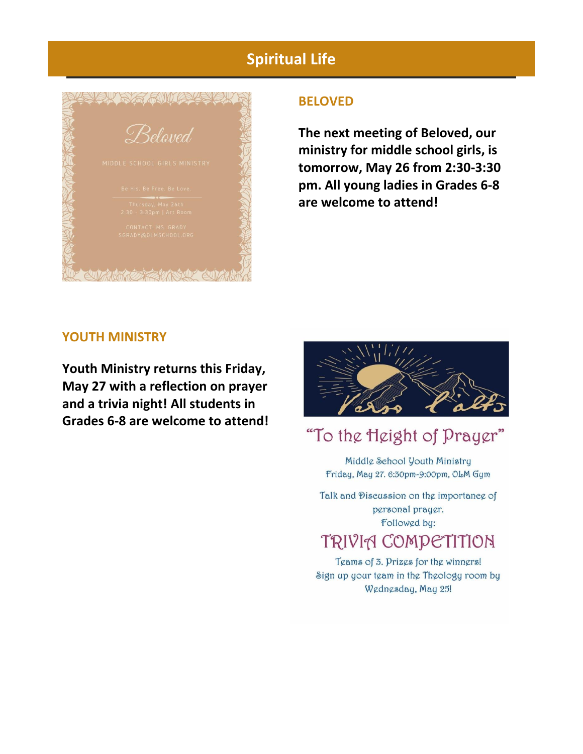# **Spiritual Life**



### **BELOVED**

**The next meeting of Beloved, our ministry for middle school girls, is tomorrow, May 26 from 2:30-3:30 pm. All young ladies in Grades 6-8 are welcome to attend!**

### **YOUTH MINISTRY**

**Youth Ministry returns this Friday, May 27 with a reflection on prayer and a trivia night! All students in Grades 6-8 are welcome to attend!**



# "To the Height of Prayer"

Middle School Youth Ministry Friday, May 27. 6:30pm-9:00pm, OLM Gym

Talk and Discussion on the importance of pgrsonal praygr. Followed by: TRIVIA COMPETITION

## Teams of 3. Prizes for the winners! Sign up your team in the Theology room by Wednesday, May 25!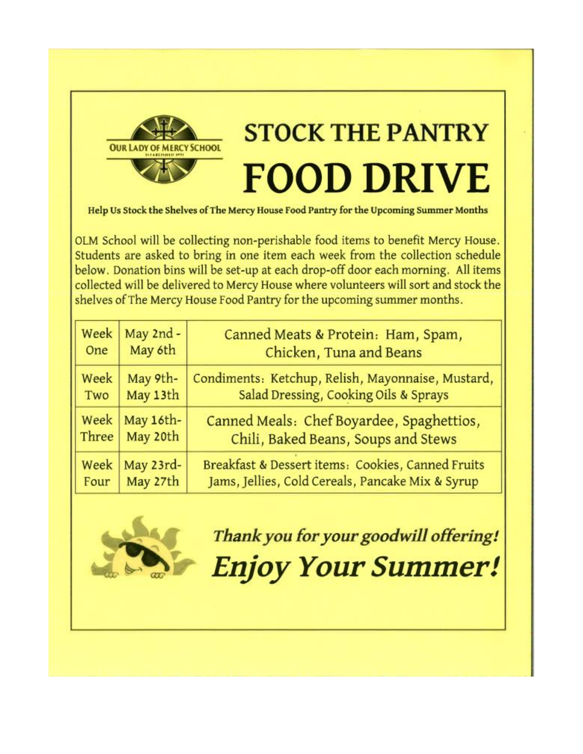

# **STOCK THE PANTRY FOOD DRIVE**

Help Us Stock the Shelves of The Mercy House Food Pantry for the Upcoming Summer Months

OLM School will be collecting non-perishable food items to benefit Mercy House. Students are asked to bring in one item each week from the collection schedule below. Donation bins will be set-up at each drop-off door each morning. All items collected will be delivered to Mercy House where volunteers will sort and stock the shelves of The Mercy House Food Pantry for the upcoming summer months.

| Week  | May 2nd - | Canned Meats & Protein: Ham, Spam,                |
|-------|-----------|---------------------------------------------------|
| One   | May 6th   | Chicken, Tuna and Beans                           |
| Week  | May 9th-  | Condiments: Ketchup, Relish, Mayonnaise, Mustard, |
| Two   | May 13th  | Salad Dressing, Cooking Oils & Sprays             |
| Week  | May 16th- | Canned Meals: Chef Boyardee, Spaghettios,         |
| Three | May 20th  | Chili, Baked Beans, Soups and Stews               |
| Week  | May 23rd- | Breakfast & Dessert items: Cookies, Canned Fruits |
| Four  | May 27th  | Jams, Jellies, Cold Cereals, Pancake Mix & Syrup  |



Thank you for your goodwill offering! **Enjoy Your Summer!**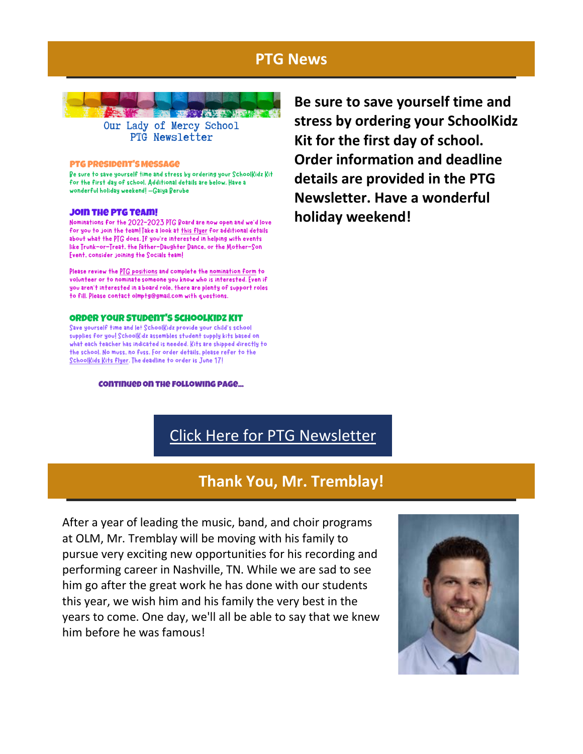## **PTG News**



#### **PTG PRESIDENT'S MESSAGE**

Be sure to save yourself time and stress by ordering your SchoolKidz Kit for the first day of school. Additional details are below. Have a wonderful holiday weekend! - Gaiya Berube

#### **JOIN THE PTG TEAM!**

Nominations for the 2022-2023 PTG Board are now open and we'd love for you to join the team! Take a look at this flyer for additional details about what the PTG does. If you're interested in helping with events like Trunk-or-Treat, the Father-Daughter Dance, or the Mother-Son Frent, consider joining the Cocials teaml

Please review the PTG positions and complete the nomination form to volunteer or to nominate someone you know who is interested. Even if you aren't interested in a board role, there are plenty of support roles to fill. Please contact olmptg@gmail.com with questions.

#### **ORDER YOUR STUDENT'S SCHOOLKIDZ KIT**

Save yourself time and let Schoolkidz provide your child's school supplies for you! Schoolkidz assembles student supply kits based on what each teacher has indicated is needed. Kits are shipped directly to the school. No muss, no fuss. For order details, please refer to the Schoolkids kits flyer. The deadline to order is June 17!

#### **CONTINUED ON THE FOLLOWING PAGE...**

**Be sure to save yourself time and stress by ordering your SchoolKidz Kit for the first day of school. Order information and deadline details are provided in the PTG Newsletter. Have a wonderful holiday weekend!**

# [Click Here for PTG Newsletter](https://r20.rs6.net/tn.jsp?f=001dYzLyaQnjQfRidMx3t325AL8A3IIIQlreCtVbzv2GgyOu90ZXagM8sz2VOFQscVdDZs_jIv5ZXfrKKxOuzmuOKrMPaHoqmxLfg3c2cuFWtW-5KoulMXHJx94AR8-Ralr8sHianawZ2l_IhkxBQGEGrw_hB_b1PU-pKk6GiMma3KhXvp54Aw_bZ7KJmarYfa-znsrxTRKqEXfe_bniM4QsyztA-_BRsIITMRZEUfcs3w=&c=&ch=)

## **Thank You, Mr. Tremblay!**

After a year of leading the music, band, and choir programs at OLM, Mr. Tremblay will be moving with his family to pursue very exciting new opportunities for his recording and performing career in Nashville, TN. While we are sad to see him go after the great work he has done with our students this year, we wish him and his family the very best in the years to come. One day, we'll all be able to say that we knew him before he was famous!

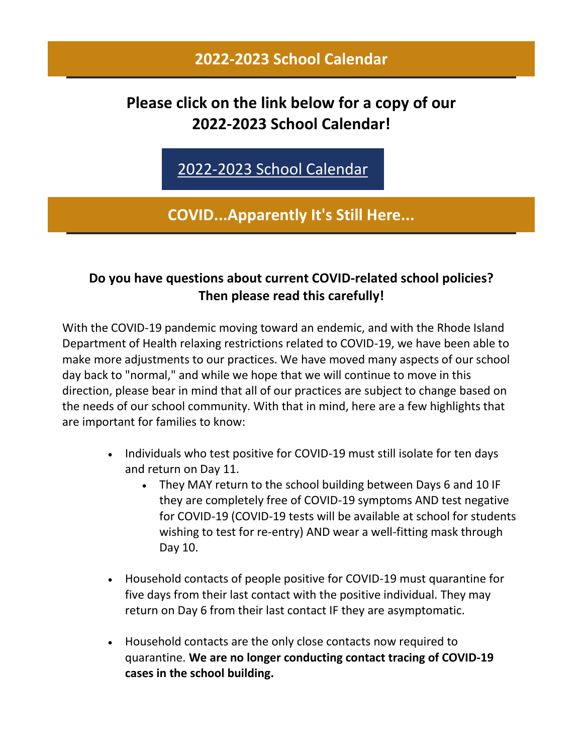## **2022-2023 School Calendar**

# **Please click on the link below for a copy of our 2022-2023 School Calendar!**

[2022-2023 School Calendar](https://r20.rs6.net/tn.jsp?f=001dYzLyaQnjQfRidMx3t325AL8A3IIIQlreCtVbzv2GgyOu90ZXagM8rDqc3iqdR-OnQbvc2bxENqDYFTUKZKLSLF2hiBw9Oj_2tx8RTsAvu70xP49IJ5pjCml4FviyBdZceoW22AUWw_Hjot7AQPK0SbEI-fBhlv9YfgvEZMy2-vTXREARnLnyg5TVFjzgNoKNxjUpz7S6jLcE4hRZGx_P4mNMndsnioCMiGoDEt4Z9Y=&c=&ch=)

**COVID...Apparently It's Still Here...**

## **Do you have questions about current COVID-related school policies? Then please read this carefully!**

With the COVID-19 pandemic moving toward an endemic, and with the Rhode Island Department of Health relaxing restrictions related to COVID-19, we have been able to make more adjustments to our practices. We have moved many aspects of our school day back to "normal," and while we hope that we will continue to move in this direction, please bear in mind that all of our practices are subject to change based on the needs of our school community. With that in mind, here are a few highlights that are important for families to know:

- Individuals who test positive for COVID-19 must still isolate for ten days and return on Day 11.
	- They MAY return to the school building between Days 6 and 10 IF they are completely free of COVID-19 symptoms AND test negative for COVID-19 (COVID-19 tests will be available at school for students wishing to test for re-entry) AND wear a well-fitting mask through Day 10.
- Household contacts of people positive for COVID-19 must quarantine for five days from their last contact with the positive individual. They may return on Day 6 from their last contact IF they are asymptomatic.
- Household contacts are the only close contacts now required to quarantine. **We are no longer conducting contact tracing of COVID-19 cases in the school building.**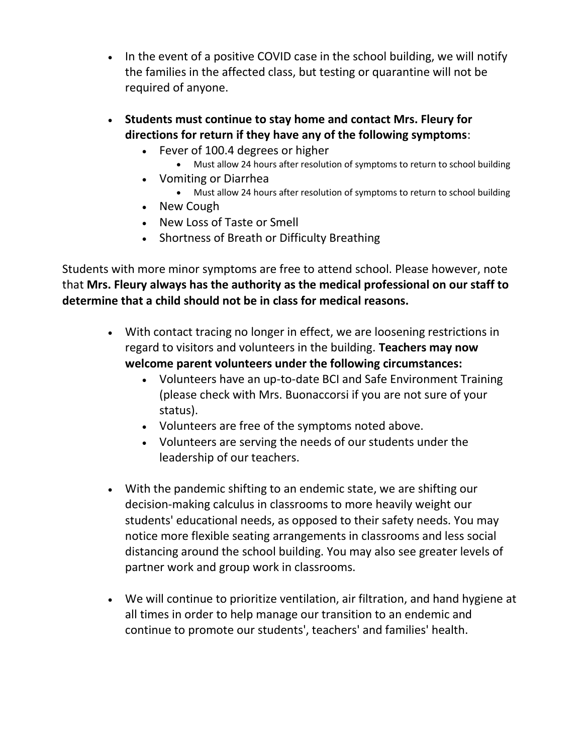- In the event of a positive COVID case in the school building, we will notify the families in the affected class, but testing or quarantine will not be required of anyone.
- **Students must continue to stay home and contact Mrs. Fleury for directions for return if they have any of the following symptoms**:
	- Fever of 100.4 degrees or higher
		- Must allow 24 hours after resolution of symptoms to return to school building
	- Vomiting or Diarrhea
		- Must allow 24 hours after resolution of symptoms to return to school building
	- New Cough
	- New Loss of Taste or Smell
	- Shortness of Breath or Difficulty Breathing

Students with more minor symptoms are free to attend school. Please however, note that **Mrs. Fleury always has the authority as the medical professional on our staff to determine that a child should not be in class for medical reasons.**

- With contact tracing no longer in effect, we are loosening restrictions in regard to visitors and volunteers in the building. **Teachers may now welcome parent volunteers under the following circumstances:**
	- Volunteers have an up-to-date BCI and Safe Environment Training (please check with Mrs. Buonaccorsi if you are not sure of your status).
	- Volunteers are free of the symptoms noted above.
	- Volunteers are serving the needs of our students under the leadership of our teachers.
- With the pandemic shifting to an endemic state, we are shifting our decision-making calculus in classrooms to more heavily weight our students' educational needs, as opposed to their safety needs. You may notice more flexible seating arrangements in classrooms and less social distancing around the school building. You may also see greater levels of partner work and group work in classrooms.
- We will continue to prioritize ventilation, air filtration, and hand hygiene at all times in order to help manage our transition to an endemic and continue to promote our students', teachers' and families' health.